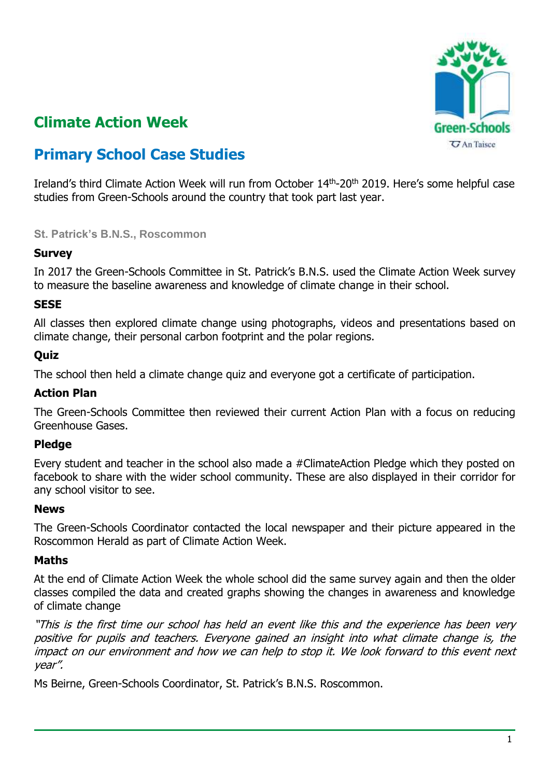

# **Climate Action Week**

# **Primary School Case Studies**

Ireland's third Climate Action Week will run from October 14<sup>th</sup>-20<sup>th</sup> 2019. Here's some helpful case studies from Green-Schools around the country that took part last year.

**St. Patrick's B.N.S., Roscommon**

### **Survey**

In 2017 the Green-Schools Committee in St. Patrick's B.N.S. used the Climate Action Week survey to measure the baseline awareness and knowledge of climate change in their school.

### **SESE**

All classes then explored climate change using photographs, videos and presentations based on climate change, their personal carbon footprint and the polar regions.

### **Quiz**

The school then held a climate change quiz and everyone got a certificate of participation.

## **Action Plan**

The Green-Schools Committee then reviewed their current Action Plan with a focus on reducing Greenhouse Gases.

#### **Pledge**

Every student and teacher in the school also made a #ClimateAction Pledge which they posted on facebook to share with the wider school community. These are also displayed in their corridor for any school visitor to see.

#### **News**

The Green-Schools Coordinator contacted the local newspaper and their picture appeared in the Roscommon Herald as part of Climate Action Week.

#### **Maths**

At the end of Climate Action Week the whole school did the same survey again and then the older classes compiled the data and created graphs showing the changes in awareness and knowledge of climate change

"This is the first time our school has held an event like this and the experience has been very positive for pupils and teachers. Everyone gained an insight into what climate change is, the impact on our environment and how we can help to stop it. We look forward to this event next year".

Ms Beirne, Green-Schools Coordinator, St. Patrick's B.N.S. Roscommon.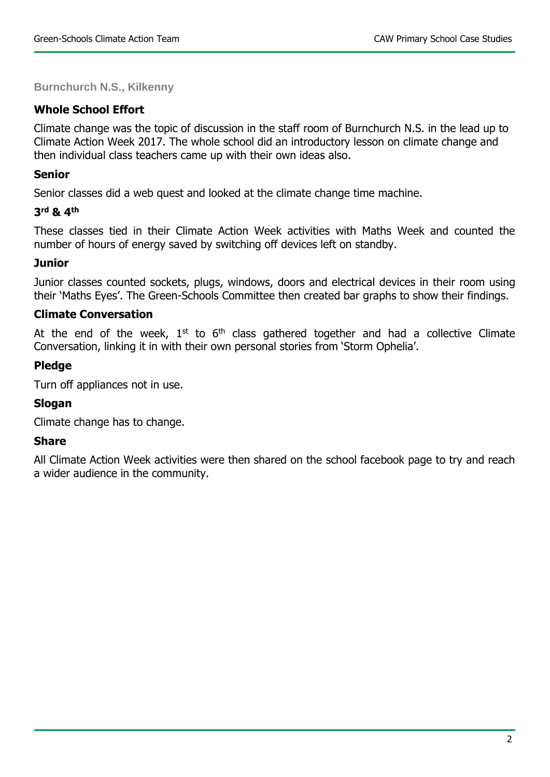**Burnchurch N.S., Kilkenny**

## **Whole School Effort**

Climate change was the topic of discussion in the staff room of Burnchurch N.S. in the lead up to Climate Action Week 2017. The whole school did an introductory lesson on climate change and then individual class teachers came up with their own ideas also.

### **Senior**

Senior classes did a web quest and looked at the climate change time machine.

# **3 rd & 4th**

These classes tied in their Climate Action Week activities with Maths Week and counted the number of hours of energy saved by switching off devices left on standby.

### **Junior**

Junior classes counted sockets, plugs, windows, doors and electrical devices in their room using their 'Maths Eyes'. The Green-Schools Committee then created bar graphs to show their findings.

# **Climate Conversation**

At the end of the week,  $1^{st}$  to  $6^{th}$  class gathered together and had a collective Climate Conversation, linking it in with their own personal stories from 'Storm Ophelia'.

### **Pledge**

Turn off appliances not in use.

# **Slogan**

Climate change has to change.

#### **Share**

All Climate Action Week activities were then shared on the school facebook page to try and reach a wider audience in the community.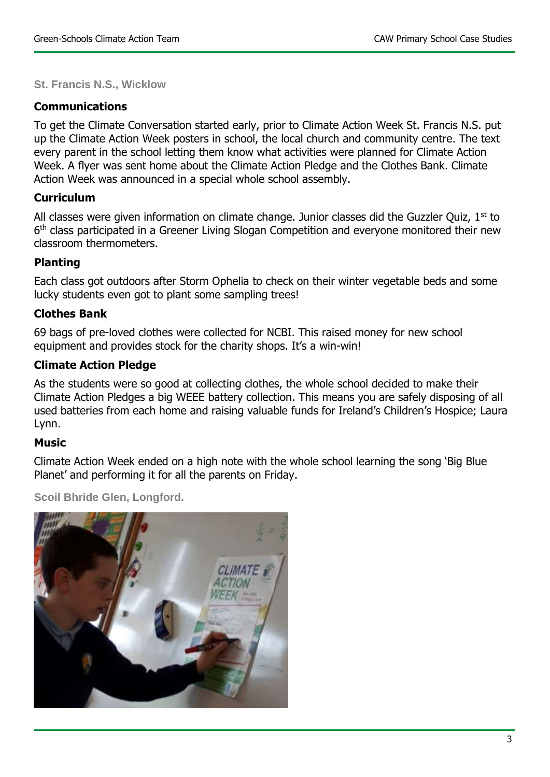**St. Francis N.S., Wicklow**

# **Communications**

To get the Climate Conversation started early, prior to Climate Action Week St. Francis N.S. put up the Climate Action Week posters in school, the local church and community centre. The text every parent in the school letting them know what activities were planned for Climate Action Week. A flyer was sent home about the Climate Action Pledge and the Clothes Bank. Climate Action Week was announced in a special whole school assembly.

# **Curriculum**

All classes were given information on climate change. Junior classes did the Guzzler Quiz,  $1<sup>st</sup>$  to 6<sup>th</sup> class participated in a Greener Living Slogan Competition and everyone monitored their new classroom thermometers.

# **Planting**

Each class got outdoors after Storm Ophelia to check on their winter vegetable beds and some lucky students even got to plant some sampling trees!

# **Clothes Bank**

69 bags of pre-loved clothes were collected for NCBI. This raised money for new school equipment and provides stock for the charity shops. It's a win-win!

# **Climate Action Pledge**

As the students were so good at collecting clothes, the whole school decided to make their Climate Action Pledges a big WEEE battery collection. This means you are safely disposing of all used batteries from each home and raising valuable funds for Ireland's Children's Hospice; Laura Lynn.

# **Music**

Climate Action Week ended on a high note with the whole school learning the song 'Big Blue Planet' and performing it for all the parents on Friday.

**Scoil Bhride Glen, Longford.**